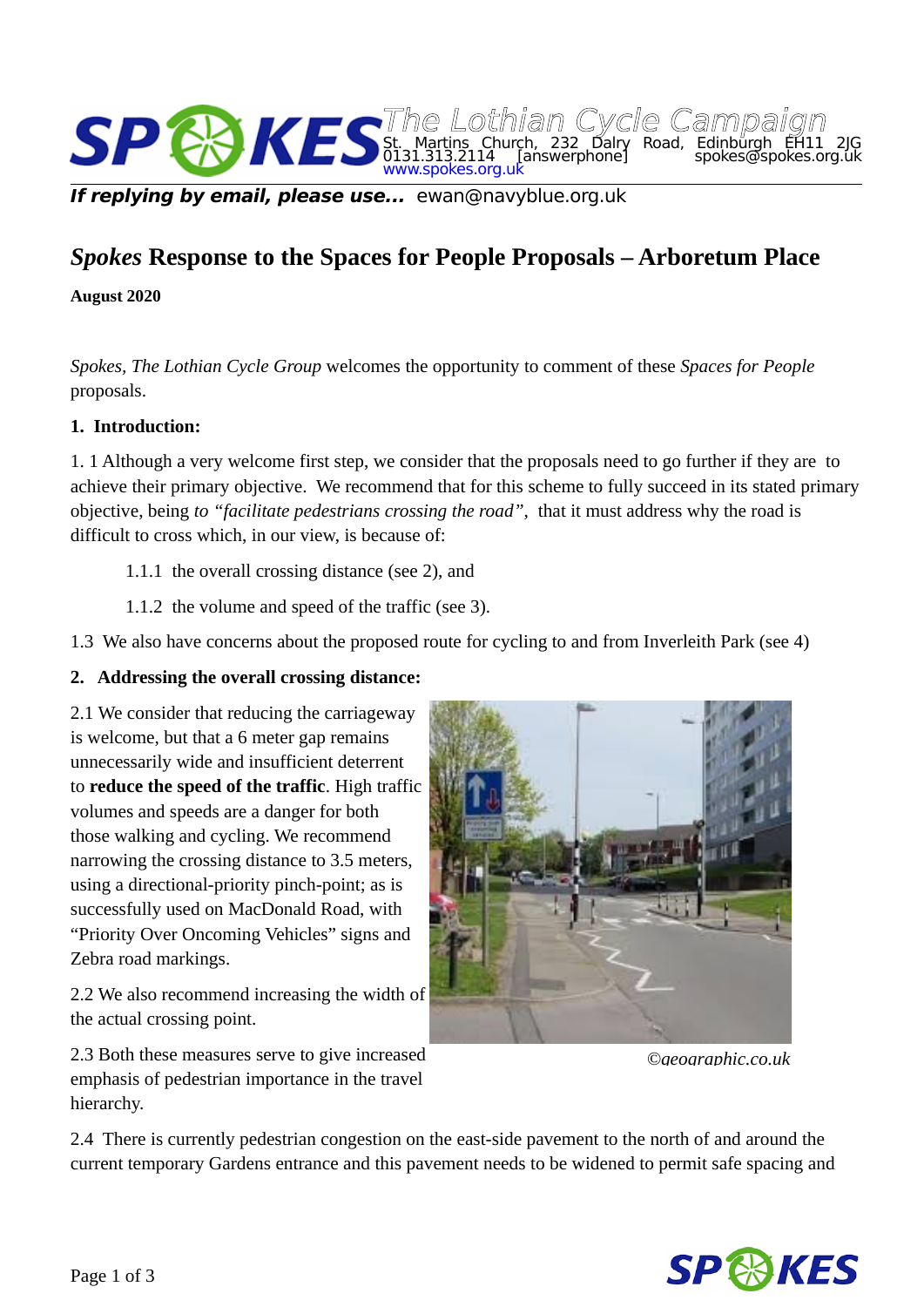

**If replying by email, please use...** ewan@navyblue.org.uk

# *Spokes* **Response to the Spaces for People Proposals – Arboretum Place**

**August 2020**

*Spokes, The Lothian Cycle Group* welcomes the opportunity to comment of these *Spaces for People* proposals.

#### **1. Introduction:**

1. 1 Although a very welcome first step, we consider that the proposals need to go further if they are to achieve their primary objective. We recommend that for this scheme to fully succeed in its stated primary objective, being *to "facilitate pedestrians crossing the road",* that it must address why the road is difficult to cross which, in our view, is because of:

- 1.1.1 the overall crossing distance (see 2), and
- 1.1.2 the volume and speed of the traffic (see 3).

1.3 We also have concerns about the proposed route for cycling to and from Inverleith Park (see 4)

#### **2. Addressing the overall crossing distance:**

2.1 We consider that reducing the carriageway is welcome, but that a 6 meter gap remains unnecessarily wide and insufficient deterrent to **reduce the speed of the traffic**. High traffic volumes and speeds are a danger for both those walking and cycling. We recommend narrowing the crossing distance to 3.5 meters, using a directional-priority pinch-point; as is successfully used on MacDonald Road, with "Priority Over Oncoming Vehicles" signs and Zebra road markings.

2.2 We also recommend increasing the width of the actual crossing point.

2.3 Both these measures serve to give increased emphasis of pedestrian importance in the travel hierarchy.



*©geographic.co.uk*

2.4 There is currently pedestrian congestion on the east-side pavement to the north of and around the current temporary Gardens entrance and this pavement needs to be widened to permit safe spacing and

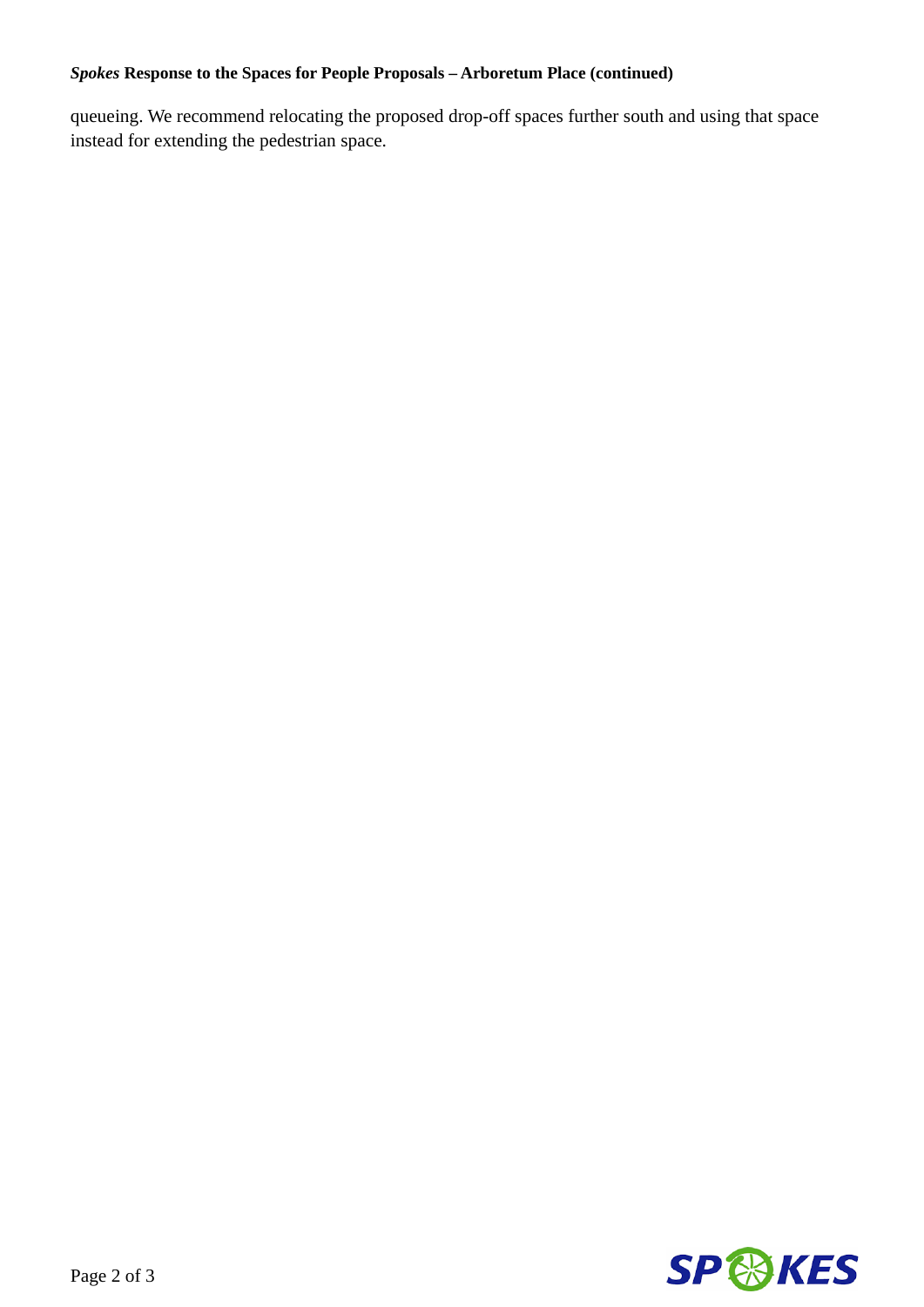## *Spokes* **Response to the Spaces for People Proposals – Arboretum Place (continued)**

queueing. We recommend relocating the proposed drop-off spaces further south and using that space instead for extending the pedestrian space.